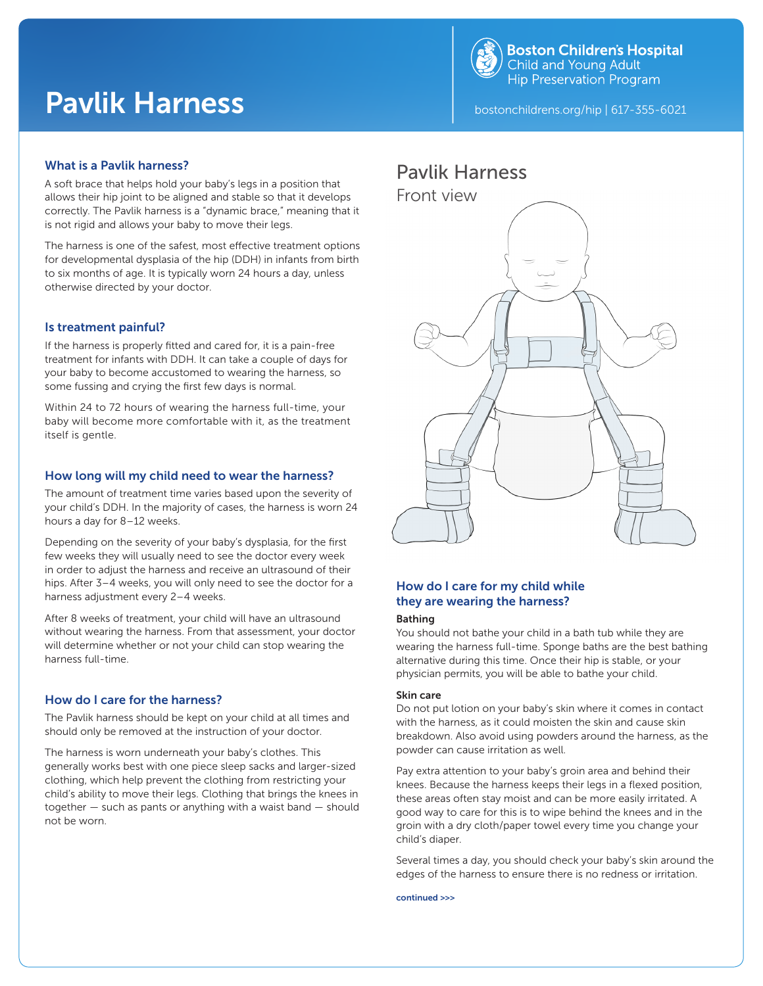

# Pavlik Harness **bostonchildrens.org/hip | 617-355-6021**

## What is a Pavlik harness?

A soft brace that helps hold your baby's legs in a position that allows their hip joint to be aligned and stable so that it develops correctly. The Pavlik harness is a "dynamic brace," meaning that it is not rigid and allows your baby to move their legs.

The harness is one of the safest, most effective treatment options for developmental dysplasia of the hip (DDH) in infants from birth to six months of age. It is typically worn 24 hours a day, unless otherwise directed by your doctor.

## Is treatment painful?

If the harness is properly fitted and cared for, it is a pain-free treatment for infants with DDH. It can take a couple of days for your baby to become accustomed to wearing the harness, so some fussing and crying the first few days is normal.

Within 24 to 72 hours of wearing the harness full-time, your baby will become more comfortable with it, as the treatment itself is gentle.

### How long will my child need to wear the harness?

The amount of treatment time varies based upon the severity of your child's DDH. In the majority of cases, the harness is worn 24 hours a day for 8–12 weeks.

Depending on the severity of your baby's dysplasia, for the first few weeks they will usually need to see the doctor every week in order to adjust the harness and receive an ultrasound of their hips. After 3–4 weeks, you will only need to see the doctor for a harness adjustment every 2–4 weeks.

After 8 weeks of treatment, your child will have an ultrasound without wearing the harness. From that assessment, your doctor will determine whether or not your child can stop wearing the harness full-time.

## How do I care for the harness?

The Pavlik harness should be kept on your child at all times and should only be removed at the instruction of your doctor.

The harness is worn underneath your baby's clothes. This generally works best with one piece sleep sacks and larger-sized clothing, which help prevent the clothing from restricting your child's ability to move their legs. Clothing that brings the knees in together — such as pants or anything with a waist band — should not be worn.

## Pavlik Harness



## How do I care for my child while they are wearing the harness?

#### Bathing

You should not bathe your child in a bath tub while they are wearing the harness full-time. Sponge baths are the best bathing alternative during this time. Once their hip is stable, or your physician permits, you will be able to bathe your child.

#### Skin care

Do not put lotion on your baby's skin where it comes in contact with the harness, as it could moisten the skin and cause skin breakdown. Also avoid using powders around the harness, as the powder can cause irritation as well.

Pay extra attention to your baby's groin area and behind their knees. Because the harness keeps their legs in a flexed position, these areas often stay moist and can be more easily irritated. A good way to care for this is to wipe behind the knees and in the groin with a dry cloth/paper towel every time you change your child's diaper.

Several times a day, you should check your baby's skin around the edges of the harness to ensure there is no redness or irritation.

continued >>>